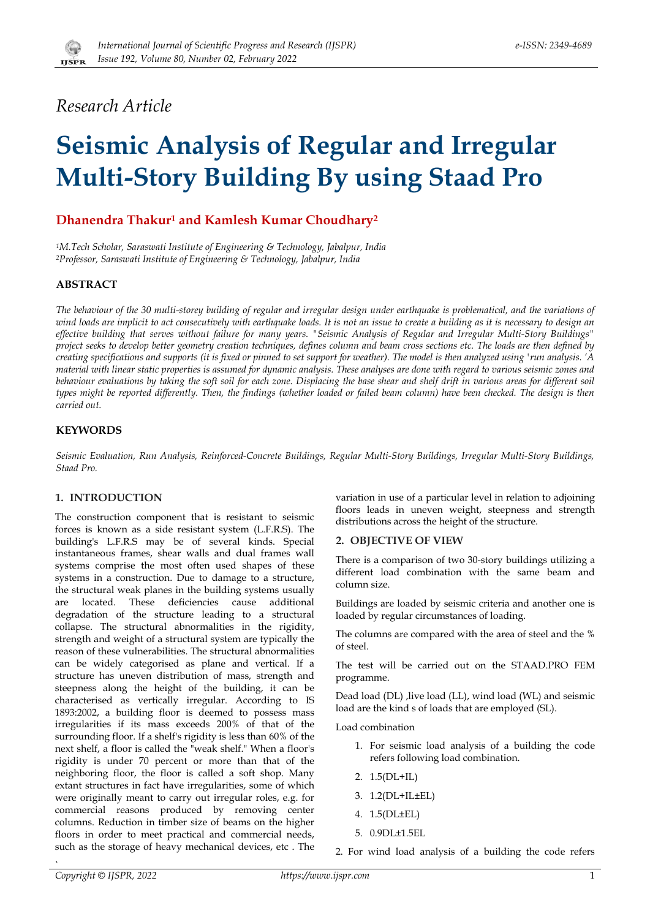

# *Research Article*

# **Seismic Analysis of Regular and Irregular Multi-Story Building By using Staad Pro**

# **Dhanendra Thakur1 and Kamlesh Kumar Choudhary2**

*1M.Tech Scholar, Saraswati Institute of Engineering & Technology, Jabalpur, India 2Professor, Saraswati Institute of Engineering & Technology, Jabalpur, India* 

# **ABSTRACT**

*The behaviour of the 30 multi-storey building of regular and irregular design under earthquake is problematical, and the variations of wind loads are implicit to act consecutively with earthquake loads. It is not an issue to create a building as it is necessary to design an effective building that serves without failure for many years. "Seismic Analysis of Regular and Irregular Multi-Story Buildings" project seeks to develop better geometry creation techniques, defines column and beam cross sections etc. The loads are then defined by creating specifications and supports (it is fixed or pinned to set support for weather). The model is then analyzed using 'run analysis. 'A material with linear static properties is assumed for dynamic analysis. These analyses are done with regard to various seismic zones and*  behaviour evaluations by taking the soft soil for each zone. Displacing the base shear and shelf drift in various areas for different soil *types might be reported differently. Then, the findings (whether loaded or failed beam column) have been checked. The design is then carried out.*

# **KEYWORDS**

*Seismic Evaluation, Run Analysis, Reinforced-Concrete Buildings, Regular Multi-Story Buildings, Irregular Multi-Story Buildings, Staad Pro.* 

# **1. INTRODUCTION**

The construction component that is resistant to seismic forces is known as a side resistant system (L.F.R.S). The building's L.F.R.S may be of several kinds. Special instantaneous frames, shear walls and dual frames wall systems comprise the most often used shapes of these systems in a construction. Due to damage to a structure, the structural weak planes in the building systems usually are located. These deficiencies cause additional degradation of the structure leading to a structural collapse. The structural abnormalities in the rigidity, strength and weight of a structural system are typically the reason of these vulnerabilities. The structural abnormalities can be widely categorised as plane and vertical. If a structure has uneven distribution of mass, strength and steepness along the height of the building, it can be characterised as vertically irregular. According to IS 1893:2002, a building floor is deemed to possess mass irregularities if its mass exceeds 200% of that of the surrounding floor. If a shelf's rigidity is less than 60% of the next shelf, a floor is called the "weak shelf." When a floor's rigidity is under 70 percent or more than that of the neighboring floor, the floor is called a soft shop. Many extant structures in fact have irregularities, some of which were originally meant to carry out irregular roles, e.g. for commercial reasons produced by removing center columns. Reduction in timber size of beams on the higher floors in order to meet practical and commercial needs, such as the storage of heavy mechanical devices, etc . The variation in use of a particular level in relation to adjoining floors leads in uneven weight, steepness and strength distributions across the height of the structure.

#### **2. OBJECTIVE OF VIEW**

There is a comparison of two 30-story buildings utilizing a different load combination with the same beam and column size.

Buildings are loaded by seismic criteria and another one is loaded by regular circumstances of loading.

The columns are compared with the area of steel and the % of steel.

The test will be carried out on the STAAD.PRO FEM programme.

Dead load (DL) , live load (LL), wind load (WL) and seismic load are the kind s of loads that are employed (SL).

Load combination

- 1. For seismic load analysis of a building the code refers following load combination.
- 2. 1.5(DL+IL)
- 3. 1.2(DL+IL±EL)
- 4. 1.5(DL±EL)
- 5. 0.9DL±1.5EL

2. For wind load analysis of a building the code refers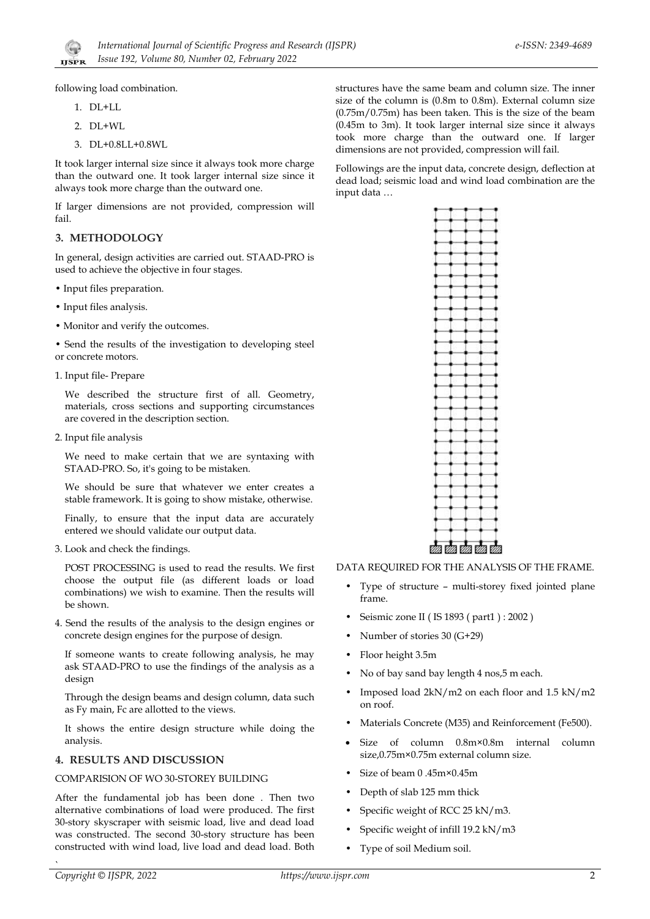

following load combination.

- 1. DL+LL
- 2. DL+WL
- 3. DL+0.8LL+0.8WL

It took larger internal size since it always took more charge than the outward one. It took larger internal size since it always took more charge than the outward one.

If larger dimensions are not provided, compression will fail.

#### **3. METHODOLOGY**

In general, design activities are carried out. STAAD-PRO is used to achieve the objective in four stages.

- Input files preparation.
- Input files analysis.
- Monitor and verify the outcomes.

• Send the results of the investigation to developing steel or concrete motors.

1. Input file- Prepare

We described the structure first of all. Geometry, materials, cross sections and supporting circumstances are covered in the description section.

2. Input file analysis

We need to make certain that we are syntaxing with STAAD-PRO. So, it's going to be mistaken.

We should be sure that whatever we enter creates a stable framework. It is going to show mistake, otherwise.

Finally, to ensure that the input data are accurately entered we should validate our output data.

3. Look and check the findings.

POST PROCESSING is used to read the results. We first choose the output file (as different loads or load combinations) we wish to examine. Then the results will be shown.

4. Send the results of the analysis to the design engines or concrete design engines for the purpose of design.

If someone wants to create following analysis, he may ask STAAD-PRO to use the findings of the analysis as a design

Through the design beams and design column, data such as Fy main, Fc are allotted to the views.

It shows the entire design structure while doing the analysis.

# **4. RESULTS AND DISCUSSION**

#### COMPARISION OF WO 30-STOREY BUILDING

After the fundamental job has been done . Then two alternative combinations of load were produced. The first 30-story skyscraper with seismic load, live and dead load was constructed. The second 30-story structure has been constructed with wind load, live load and dead load. Both

structures have the same beam and column size. The inner size of the column is (0.8m to 0.8m). External column size (0.75m/0.75m) has been taken. This is the size of the beam (0.45m to 3m). It took larger internal size since it always took more charge than the outward one. If larger dimensions are not provided, compression will fail.

Followings are the input data, concrete design, deflection at dead load; seismic load and wind load combination are the input data …



DATA REQUIRED FOR THE ANALYSIS OF THE FRAME.

- Type of structure multi-storey fixed jointed plane frame.
- Seismic zone II ( IS 1893 ( part1 ) : 2002 )
- Number of stories 30 (G+29)
- Floor height 3.5m
- No of bay sand bay length 4 nos,5 m each.
- Imposed load 2kN/m2 on each floor and 1.5 kN/m2 on roof.
- Materials Concrete (M35) and Reinforcement (Fe500).
- Size of column 0.8m×0.8m internal column size,0.75m×0.75m external column size.
- Size of beam 0 .45m×0.45m
- Depth of slab 125 mm thick
- Specific weight of RCC 25 kN/m3.
- Specific weight of infill 19.2 kN/m3
- Type of soil Medium soil.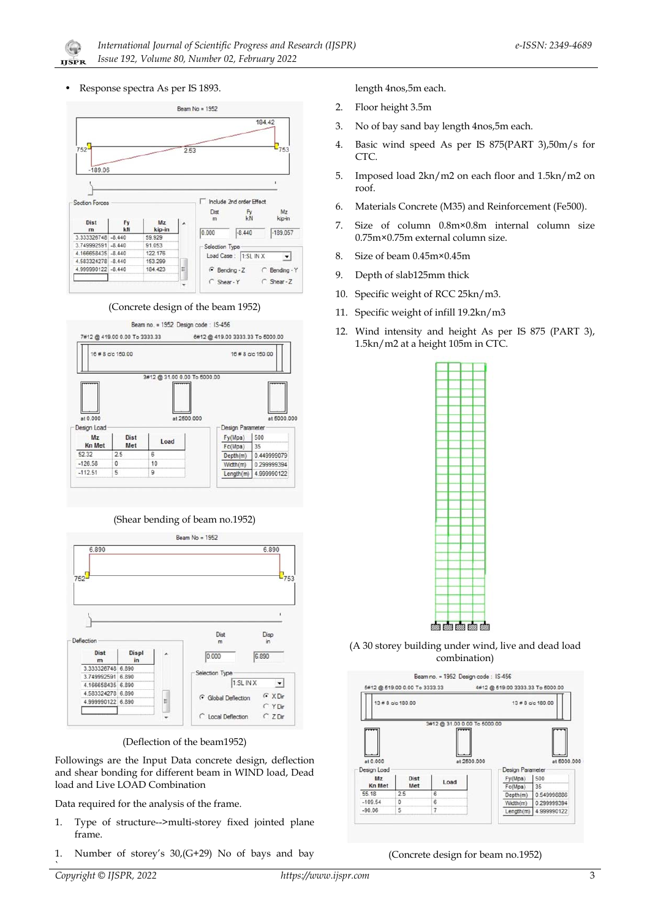• Response spectra As per IS 1893.

 $\mathbb{G}$ **IJSPR** 



(Concrete design of the beam 1952)



(Shear bending of beam no.1952)



(Deflection of the beam1952)

Followings are the Input Data concrete design, deflection and shear bonding for different beam in WIND load, Dead load and Live LOAD Combination

Data required for the analysis of the frame.

- 1. Type of structure-->multi-storey fixed jointed plane frame.
- 1. Number of storey's 30,(G+29) No of bays and bay

length 4nos,5m each.

- 2. Floor height 3.5m
- 3. No of bay sand bay length 4nos,5m each.
- 4. Basic wind speed As per IS 875(PART 3),50m/s for CTC.
- 5. Imposed load 2kn/m2 on each floor and 1.5kn/m2 on roof.
- 6. Materials Concrete (M35) and Reinforcement (Fe500).
- 7. Size of column 0.8m×0.8m internal column size 0.75m×0.75m external column size.
- 8. Size of beam 0.45m×0.45m
- 9. Depth of slab125mm thick
- 10. Specific weight of RCC 25kn/m3.
- 11. Specific weight of infill 19.2kn/m3
- 12. Wind intensity and height As per IS 875 (PART 3), 1.5kn/m2 at a height 105m in CTC.



(A 30 storey building under wind, live and dead load combination)



(Concrete design for beam no.1952)